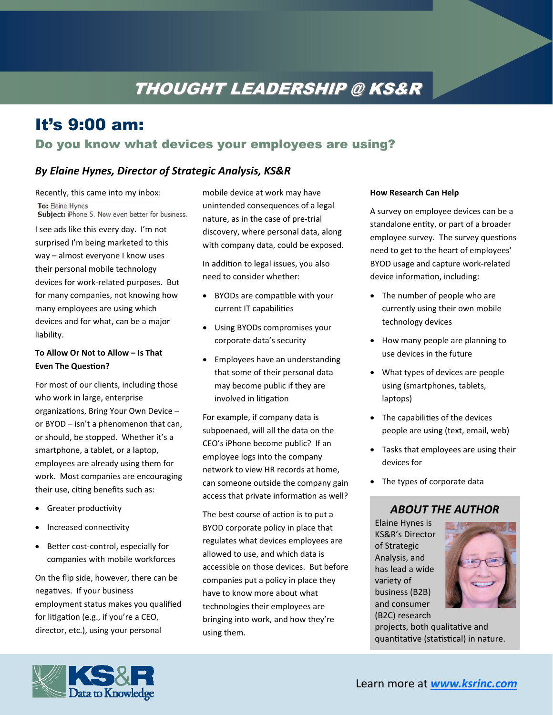# THOUGHT LEADERSHIP @ KS&R

## It's 9:00 am:

## Do you know what devices your employees are using?

## *By Elaine Hynes, Director of Strategic Analysis, KS&R*

Recently, this came into my inbox: To: Elaine Hynes Subject: iPhone 5. Now even better for business.

I see ads like this every day. I'm not surprised I'm being marketed to this way – almost everyone I know uses their personal mobile technology devices for work‐related purposes. But for many companies, not knowing how many employees are using which devices and for what, can be a major liability.

#### **To Allow Or Not to Allow – Is That Even The Question?**

For most of our clients, including those who work in large, enterprise organizations, Bring Your Own Device or BYOD – isn't a phenomenon that can, or should, be stopped. Whether it's a smartphone, a tablet, or a laptop, employees are already using them for work. Most companies are encouraging their use, citing benefits such as:

- Greater productivity
- Increased connectivity
- Better cost-control, especially for companies with mobile workforces

On the flip side, however, there can be negatives. If your business employment status makes you qualified for litigation (e.g., if you're a CEO, director, etc.), using your personal

mobile device at work may have unintended consequences of a legal nature, as in the case of pre‐trial discovery, where personal data, along with company data, could be exposed.

In addition to legal issues, you also need to consider whether:

- BYODs are compatible with your current IT capabilities
- Using BYODs compromises your corporate data's security
- Employees have an understanding that some of their personal data may become public if they are involved in litigation

For example, if company data is subpoenaed, will all the data on the CEO's iPhone become public? If an employee logs into the company network to view HR records at home, can someone outside the company gain access that private information as well?

The best course of action is to put a BYOD corporate policy in place that regulates what devices employees are allowed to use, and which data is accessible on those devices. But before companies put a policy in place they have to know more about what technologies their employees are bringing into work, and how they're using them.

#### **How Research Can Help**

A survey on employee devices can be a standalone entity, or part of a broader employee survey. The survey questions need to get to the heart of employees' BYOD usage and capture work‐related device information, including:

- The number of people who are currently using their own mobile technology devices
- How many people are planning to use devices in the future
- What types of devices are people using (smartphones, tablets, laptops)
- The capabilities of the devices people are using (text, email, web)
- Tasks that employees are using their devices for
- The types of corporate data

### *ABOUT THE AUTHOR*

Elaine Hynes is KS&R's Director of Strategic Analysis, and has lead a wide variety of business (B2B) and consumer (B2C) research



projects, both qualitative and quantitative (statistical) in nature.